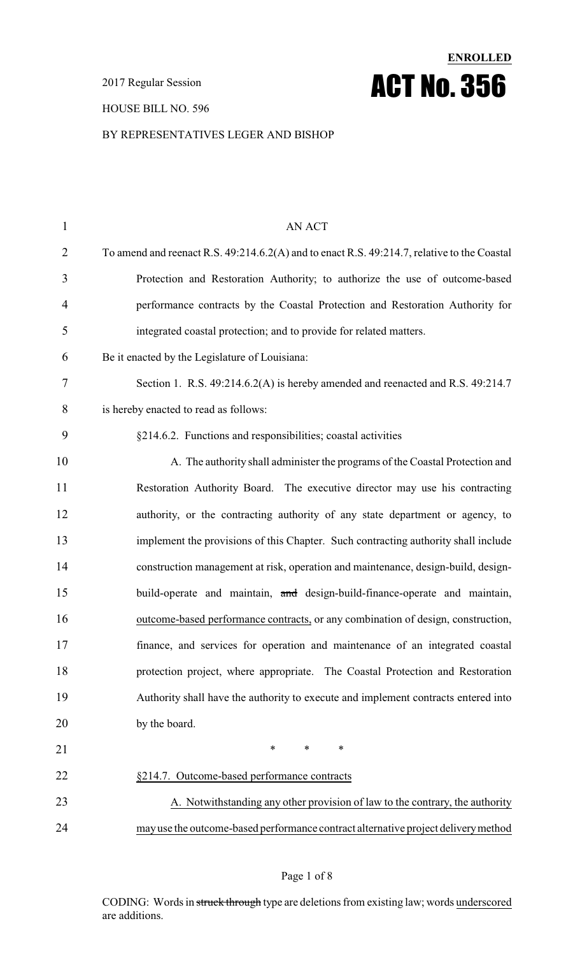2017 Regular Session

#### HOUSE BILL NO. 596

#### BY REPRESENTATIVES LEGER AND BISHOP

**ENROLLED**

ACT No. 356

| $\mathbf{1}$   | <b>AN ACT</b>                                                                               |
|----------------|---------------------------------------------------------------------------------------------|
| $\overline{2}$ | To amend and reenact R.S. 49:214.6.2(A) and to enact R.S. 49:214.7, relative to the Coastal |
| 3              | Protection and Restoration Authority; to authorize the use of outcome-based                 |
| $\overline{4}$ | performance contracts by the Coastal Protection and Restoration Authority for               |
| 5              | integrated coastal protection; and to provide for related matters.                          |
| 6              | Be it enacted by the Legislature of Louisiana:                                              |
| 7              | Section 1. R.S. 49:214.6.2(A) is hereby amended and reenacted and R.S. 49:214.7             |
| 8              | is hereby enacted to read as follows:                                                       |
| 9              | §214.6.2. Functions and responsibilities; coastal activities                                |
| 10             | A. The authority shall administer the programs of the Coastal Protection and                |
| 11             | Restoration Authority Board. The executive director may use his contracting                 |
| 12             | authority, or the contracting authority of any state department or agency, to               |
| 13             | implement the provisions of this Chapter. Such contracting authority shall include          |
| 14             | construction management at risk, operation and maintenance, design-build, design-           |
| 15             | build-operate and maintain, and design-build-finance-operate and maintain,                  |
| 16             | outcome-based performance contracts, or any combination of design, construction,            |
| 17             | finance, and services for operation and maintenance of an integrated coastal                |
| 18             | protection project, where appropriate. The Coastal Protection and Restoration               |
| 19             | Authority shall have the authority to execute and implement contracts entered into          |
| 20             | by the board.                                                                               |
| 21             | $\ast$<br>$\ast$<br>∗                                                                       |
| 22             | §214.7. Outcome-based performance contracts                                                 |
| 23             | A. Notwithstanding any other provision of law to the contrary, the authority                |
| 24             | may use the outcome-based performance contract alternative project delivery method          |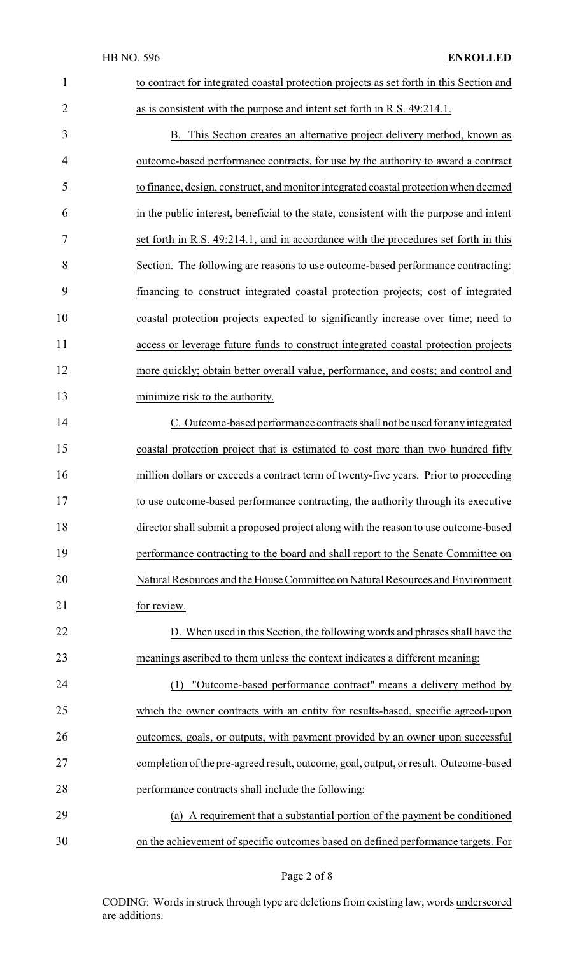| $\mathbf{1}$   | to contract for integrated coastal protection projects as set forth in this Section and |
|----------------|-----------------------------------------------------------------------------------------|
| $\overline{2}$ | as is consistent with the purpose and intent set forth in R.S. 49:214.1.                |
| 3              | B. This Section creates an alternative project delivery method, known as                |
| 4              | outcome-based performance contracts, for use by the authority to award a contract       |
| 5              | to finance, design, construct, and monitor integrated coastal protection when deemed    |
| 6              | in the public interest, beneficial to the state, consistent with the purpose and intent |
| 7              | set forth in R.S. 49:214.1, and in accordance with the procedures set forth in this     |
| 8              | Section. The following are reasons to use outcome-based performance contracting:        |
| 9              | financing to construct integrated coastal protection projects; cost of integrated       |
| 10             | coastal protection projects expected to significantly increase over time; need to       |
| 11             | access or leverage future funds to construct integrated coastal protection projects     |
| 12             | more quickly; obtain better overall value, performance, and costs; and control and      |
| 13             | minimize risk to the authority.                                                         |
| 14             | C. Outcome-based performance contracts shall not be used for any integrated             |
| 15             | coastal protection project that is estimated to cost more than two hundred fifty        |
| 16             | million dollars or exceeds a contract term of twenty-five years. Prior to proceeding    |
| 17             | to use outcome-based performance contracting, the authority through its executive       |
| 18             | director shall submit a proposed project along with the reason to use outcome-based     |
| 19             | performance contracting to the board and shall report to the Senate Committee on        |
| 20             | Natural Resources and the House Committee on Natural Resources and Environment          |
| 21             | for review.                                                                             |
| 22             | D. When used in this Section, the following words and phrases shall have the            |
| 23             | meanings ascribed to them unless the context indicates a different meaning:             |
| 24             | "Outcome-based performance contract" means a delivery method by<br>(1)                  |
| 25             | which the owner contracts with an entity for results-based, specific agreed-upon        |
| 26             | outcomes, goals, or outputs, with payment provided by an owner upon successful          |
| 27             | completion of the pre-agreed result, outcome, goal, output, or result. Outcome-based    |
| 28             | performance contracts shall include the following:                                      |
| 29             | (a) A requirement that a substantial portion of the payment be conditioned              |
| 30             | on the achievement of specific outcomes based on defined performance targets. For       |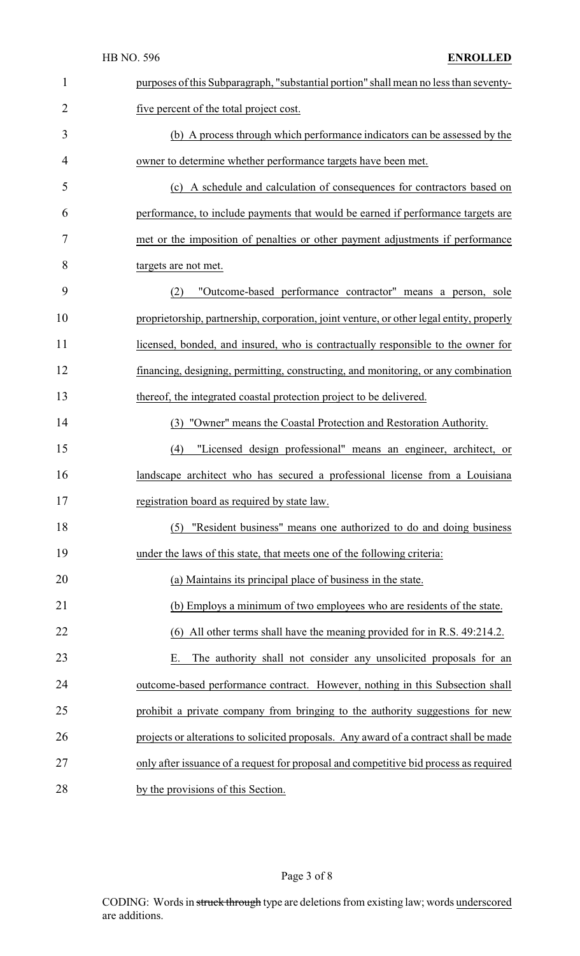| $\mathbf{1}$   | purposes of this Subparagraph, "substantial portion" shall mean no less than seventy-    |
|----------------|------------------------------------------------------------------------------------------|
| $\overline{2}$ | five percent of the total project cost.                                                  |
| 3              | (b) A process through which performance indicators can be assessed by the                |
| 4              | owner to determine whether performance targets have been met.                            |
| 5              | (c) A schedule and calculation of consequences for contractors based on                  |
| 6              | performance, to include payments that would be earned if performance targets are         |
| 7              | met or the imposition of penalties or other payment adjustments if performance           |
| 8              | targets are not met.                                                                     |
| 9              | "Outcome-based performance contractor" means a person, sole<br>(2)                       |
| 10             | proprietorship, partnership, corporation, joint venture, or other legal entity, properly |
| 11             | licensed, bonded, and insured, who is contractually responsible to the owner for         |
| 12             | financing, designing, permitting, constructing, and monitoring, or any combination       |
| 13             | thereof, the integrated coastal protection project to be delivered.                      |
| 14             | (3) "Owner" means the Coastal Protection and Restoration Authority.                      |
| 15             | "Licensed design professional" means an engineer, architect, or<br>(4)                   |
| 16             | landscape architect who has secured a professional license from a Louisiana              |
| 17             | registration board as required by state law.                                             |
| 18             | "Resident business" means one authorized to do and doing business<br>(5)                 |
| 19             | under the laws of this state, that meets one of the following criteria:                  |
| 20             | (a) Maintains its principal place of business in the state.                              |
| 21             | (b) Employs a minimum of two employees who are residents of the state.                   |
| 22             | (6) All other terms shall have the meaning provided for in R.S. 49:214.2.                |
| 23             | The authority shall not consider any unsolicited proposals for an<br>Ε.                  |
| 24             | outcome-based performance contract. However, nothing in this Subsection shall            |
| 25             | prohibit a private company from bringing to the authority suggestions for new            |
| 26             | projects or alterations to solicited proposals. Any award of a contract shall be made    |
| 27             | only after issuance of a request for proposal and competitive bid process as required    |
| 28             | by the provisions of this Section.                                                       |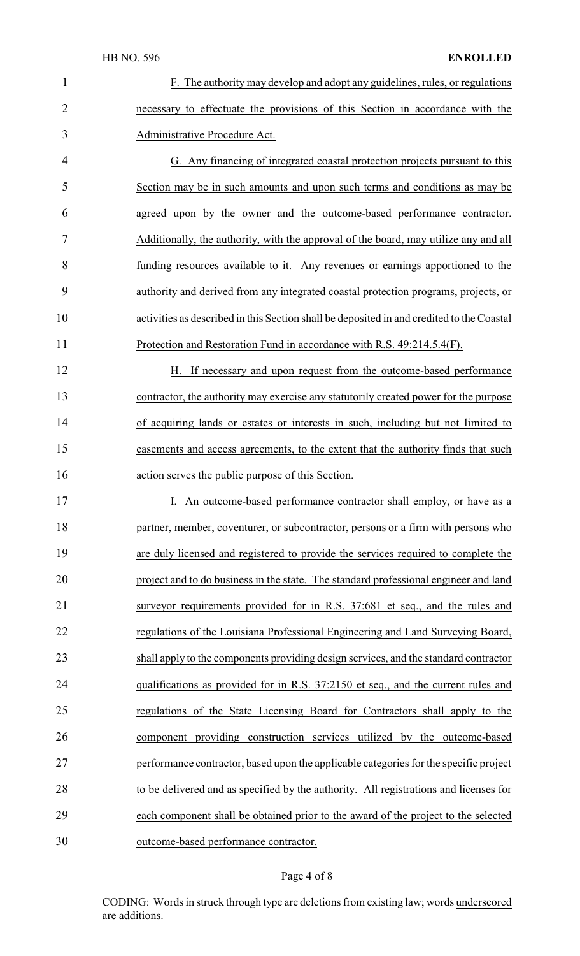### HB NO. 596 **ENROLLED**

 F. The authority may develop and adopt any guidelines, rules, or regulations necessary to effectuate the provisions of this Section in accordance with the Administrative Procedure Act.

 G. Any financing of integrated coastal protection projects pursuant to this Section may be in such amounts and upon such terms and conditions as may be agreed upon by the owner and the outcome-based performance contractor. Additionally, the authority, with the approval of the board, may utilize any and all funding resources available to it. Any revenues or earnings apportioned to the authority and derived from any integrated coastal protection programs, projects, or activities as described in this Section shall be deposited in and credited to the Coastal Protection and Restoration Fund in accordance with R.S. 49:214.5.4(F).

12 H. If necessary and upon request from the outcome-based performance contractor, the authority may exercise any statutorily created power for the purpose of acquiring lands or estates or interests in such, including but not limited to easements and access agreements, to the extent that the authority finds that such action serves the public purpose of this Section.

17 I. An outcome-based performance contractor shall employ, or have as a 18 partner, member, coventurer, or subcontractor, persons or a firm with persons who are duly licensed and registered to provide the services required to complete the project and to do business in the state. The standard professional engineer and land surveyor requirements provided for in R.S. 37:681 et seq., and the rules and regulations of the Louisiana Professional Engineering and Land Surveying Board, shall apply to the components providing design services, and the standard contractor qualifications as provided for in R.S. 37:2150 et seq., and the current rules and regulations of the State Licensing Board for Contractors shall apply to the component providing construction services utilized by the outcome-based performance contractor, based upon the applicable categories for the specific project to be delivered and as specified by the authority. All registrations and licenses for each component shall be obtained prior to the award of the project to the selected outcome-based performance contractor.

#### Page 4 of 8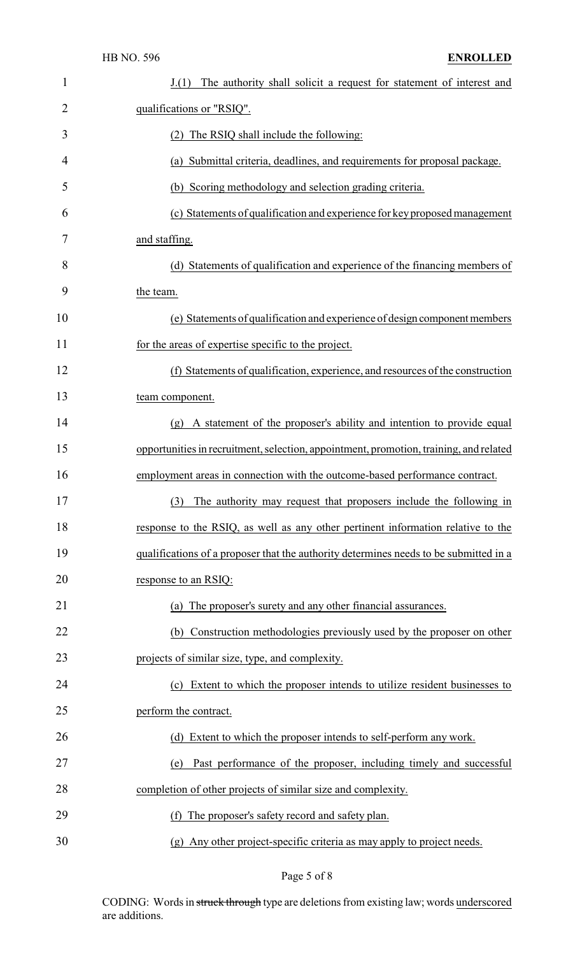| $\mathbf{1}$ | The authority shall solicit a request for statement of interest and<br>J(1)            |
|--------------|----------------------------------------------------------------------------------------|
| 2            | qualifications or "RSIQ".                                                              |
| 3            | The RSIQ shall include the following:                                                  |
| 4            | Submittal criteria, deadlines, and requirements for proposal package.<br>(a)           |
| 5            | (b) Scoring methodology and selection grading criteria.                                |
| 6            | (c) Statements of qualification and experience for key proposed management             |
| 7            | and staffing.                                                                          |
| 8            | (d) Statements of qualification and experience of the financing members of             |
| 9            | the team.                                                                              |
| 10           | (e) Statements of qualification and experience of design component members             |
| 11           | for the areas of expertise specific to the project.                                    |
| 12           | (f) Statements of qualification, experience, and resources of the construction         |
| 13           | team component.                                                                        |
| 14           | A statement of the proposer's ability and intention to provide equal<br>(g)            |
| 15           | opportunities in recruitment, selection, appointment, promotion, training, and related |
| 16           | employment areas in connection with the outcome-based performance contract.            |
| 17           | (3) The authority may request that proposers include the following in                  |
| 18           | response to the RSIQ, as well as any other pertinent information relative to the       |
| 19           | qualifications of a proposer that the authority determines needs to be submitted in a  |
| 20           | response to an RSIQ:                                                                   |
| 21           | (a) The proposer's surety and any other financial assurances.                          |
| 22           | Construction methodologies previously used by the proposer on other<br>(b)             |
| 23           | projects of similar size, type, and complexity.                                        |
| 24           | Extent to which the proposer intends to utilize resident businesses to<br>(c)          |
| 25           | perform the contract.                                                                  |
| 26           | (d) Extent to which the proposer intends to self-perform any work.                     |
| 27           | Past performance of the proposer, including timely and successful<br>(e)               |
| 28           | completion of other projects of similar size and complexity.                           |
| 29           | The proposer's safety record and safety plan.<br>(f)                                   |
| 30           | (g) Any other project-specific criteria as may apply to project needs.                 |

Page 5 of 8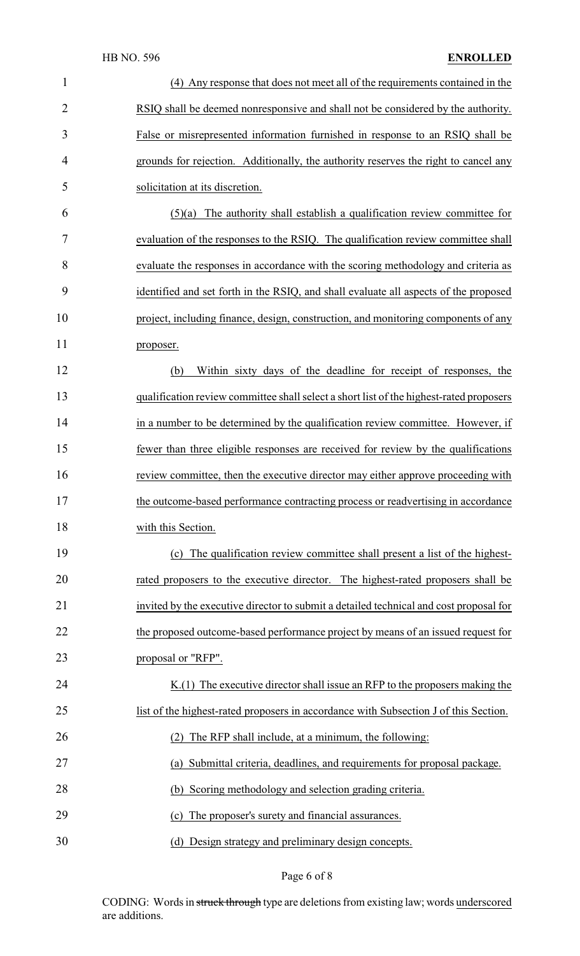## HB NO. 596 **ENROLLED**

| $\mathbf{1}$   | (4) Any response that does not meet all of the requirements contained in the            |
|----------------|-----------------------------------------------------------------------------------------|
| $\overline{2}$ | RSIQ shall be deemed nonresponsive and shall not be considered by the authority.        |
| 3              | False or misrepresented information furnished in response to an RSIQ shall be           |
| 4              | grounds for rejection. Additionally, the authority reserves the right to cancel any     |
| 5              | solicitation at its discretion.                                                         |
| 6              | The authority shall establish a qualification review committee for<br>(5)(a)            |
| 7              | evaluation of the responses to the RSIQ. The qualification review committee shall       |
| 8              | evaluate the responses in accordance with the scoring methodology and criteria as       |
| 9              | identified and set forth in the RSIQ, and shall evaluate all aspects of the proposed    |
| 10             | project, including finance, design, construction, and monitoring components of any      |
| 11             | proposer.                                                                               |
| 12             | Within sixty days of the deadline for receipt of responses, the<br>(b)                  |
| 13             | qualification review committee shall select a short list of the highest-rated proposers |
| 14             | in a number to be determined by the qualification review committee. However, if         |
| 15             | fewer than three eligible responses are received for review by the qualifications       |
| 16             | review committee, then the executive director may either approve proceeding with        |
| 17             | the outcome-based performance contracting process or readvertising in accordance        |
| 18             | with this Section.                                                                      |
| 19             | The qualification review committee shall present a list of the highest-<br>(c)          |
| 20             | rated proposers to the executive director. The highest-rated proposers shall be         |
| 21             | invited by the executive director to submit a detailed technical and cost proposal for  |
| 22             | the proposed outcome-based performance project by means of an issued request for        |
| 23             | proposal or "RFP".                                                                      |
| 24             | $K(1)$ The executive director shall issue an RFP to the proposers making the            |
| 25             | list of the highest-rated proposers in accordance with Subsection J of this Section.    |
| 26             | (2) The RFP shall include, at a minimum, the following:                                 |
| 27             | (a) Submittal criteria, deadlines, and requirements for proposal package.               |
| 28             | (b) Scoring methodology and selection grading criteria.                                 |
| 29             | The proposer's surety and financial assurances.<br>(c)                                  |
| 30             | (d) Design strategy and preliminary design concepts.                                    |

Page 6 of 8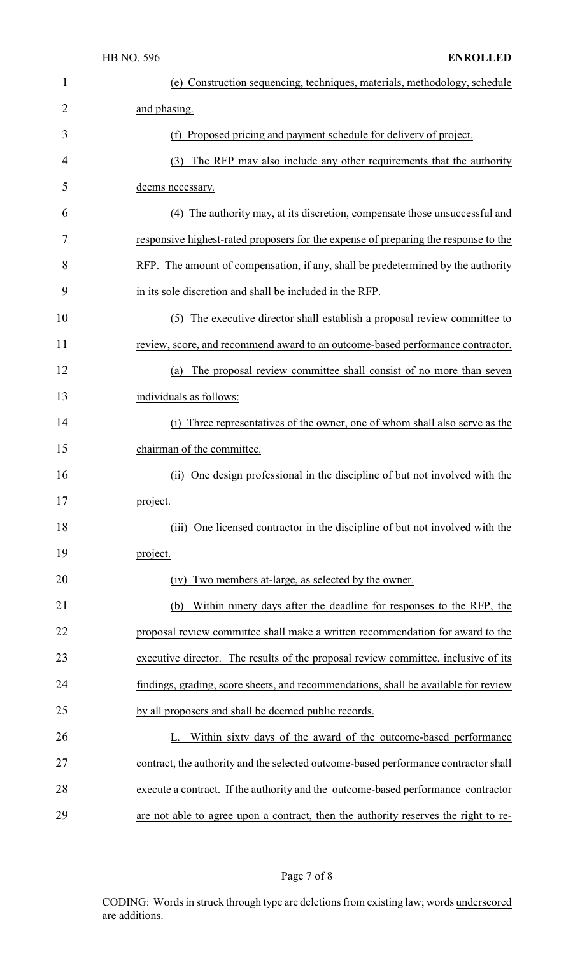| 1  | (e) Construction sequencing, techniques, materials, methodology, schedule           |
|----|-------------------------------------------------------------------------------------|
| 2  | and phasing.                                                                        |
| 3  | (f) Proposed pricing and payment schedule for delivery of project.                  |
| 4  | (3) The RFP may also include any other requirements that the authority              |
| 5  | deems necessary.                                                                    |
| 6  | (4) The authority may, at its discretion, compensate those unsuccessful and         |
| 7  | responsive highest-rated proposers for the expense of preparing the response to the |
| 8  | RFP. The amount of compensation, if any, shall be predetermined by the authority    |
| 9  | in its sole discretion and shall be included in the RFP.                            |
| 10 | The executive director shall establish a proposal review committee to<br>(5)        |
| 11 | review, score, and recommend award to an outcome-based performance contractor.      |
| 12 | The proposal review committee shall consist of no more than seven<br>(a)            |
| 13 | individuals as follows:                                                             |
| 14 | (i) Three representatives of the owner, one of whom shall also serve as the         |
| 15 | chairman of the committee.                                                          |
| 16 | One design professional in the discipline of but not involved with the<br>(ii)      |
| 17 | project.                                                                            |
| 18 | One licensed contractor in the discipline of but not involved with the<br>(iii)     |
| 19 | project.                                                                            |
| 20 | Two members at-large, as selected by the owner.<br>(iv)                             |
| 21 | Within ninety days after the deadline for responses to the RFP, the<br>(b)          |
| 22 | proposal review committee shall make a written recommendation for award to the      |
| 23 | executive director. The results of the proposal review committee, inclusive of its  |
| 24 | findings, grading, score sheets, and recommendations, shall be available for review |
| 25 | by all proposers and shall be deemed public records.                                |
| 26 | L. Within sixty days of the award of the outcome-based performance                  |
| 27 | contract, the authority and the selected outcome-based performance contractor shall |
| 28 | execute a contract. If the authority and the outcome-based performance contractor   |
| 29 | are not able to agree upon a contract, then the authority reserves the right to re- |